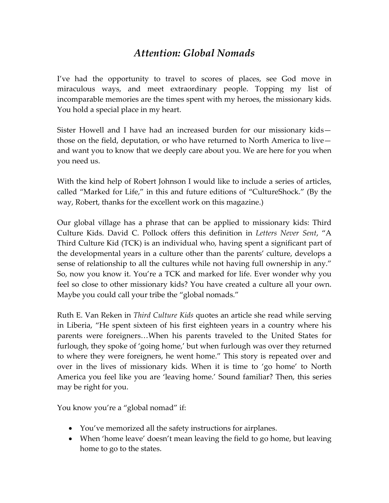## *Attention: Global Nomads*

I've had the opportunity to travel to scores of places, see God move in miraculous ways, and meet extraordinary people. Topping my list of incomparable memories are the times spent with my heroes, the missionary kids. You hold a special place in my heart.

Sister Howell and I have had an increased burden for our missionary kids those on the field, deputation, or who have returned to North America to live and want you to know that we deeply care about you. We are here for you when you need us.

With the kind help of Robert Johnson I would like to include a series of articles, called "Marked for Life," in this and future editions of "CultureShock." (By the way, Robert, thanks for the excellent work on this magazine.)

Our global village has a phrase that can be applied to missionary kids: Third Culture Kids. David C. Pollock offers this definition in *Letters Never Sent*, "A Third Culture Kid (TCK) is an individual who, having spent a significant part of the developmental years in a culture other than the parents' culture, develops a sense of relationship to all the cultures while not having full ownership in any." So, now you know it. You're a TCK and marked for life. Ever wonder why you feel so close to other missionary kids? You have created a culture all your own. Maybe you could call your tribe the "global nomads."

Ruth E. Van Reken in *Third Culture Kids* quotes an article she read while serving in Liberia, "He spent sixteen of his first eighteen years in a country where his parents were foreigners…When his parents traveled to the United States for furlough, they spoke of 'going home,' but when furlough was over they returned to where they were foreigners, he went home." This story is repeated over and over in the lives of missionary kids. When it is time to 'go home' to North America you feel like you are 'leaving home.' Sound familiar? Then, this series may be right for you.

You know you're a "global nomad" if:

- You've memorized all the safety instructions for airplanes.
- When 'home leave' doesn't mean leaving the field to go home, but leaving home to go to the states.